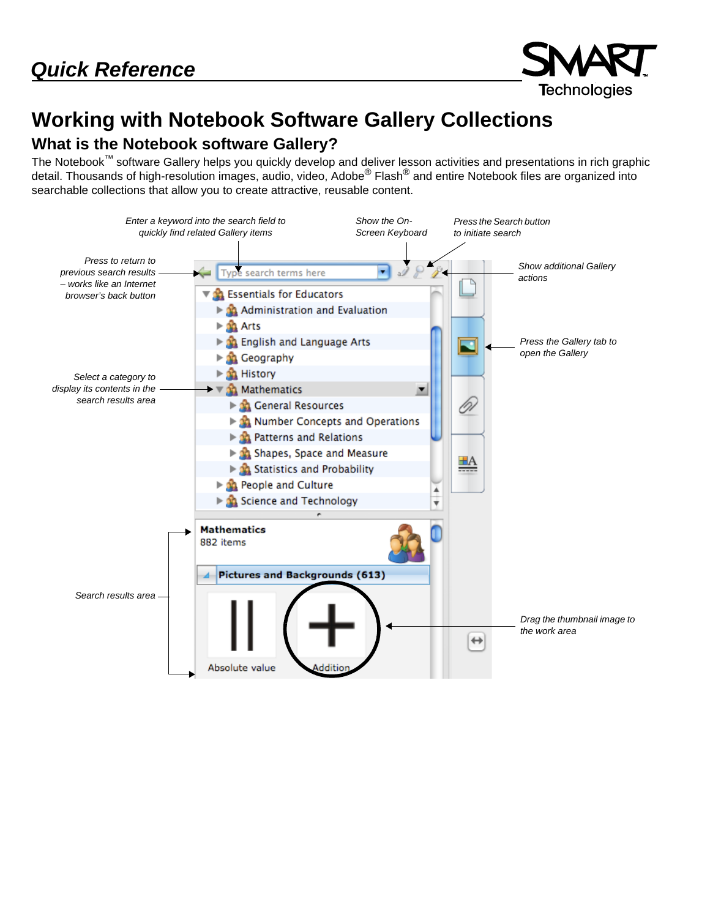

# **Working with Notebook Software Gallery Collections**

## **What is the Notebook software Gallery?**

The Notebook™ software Gallery helps you quickly develop and deliver lesson activities and presentations in rich graphic detail. Thousands of high-resolution images, audio, video, Adobe<sup>®</sup> Flash<sup>®</sup> and entire Notebook files are organized into searchable collections that allow you to create attractive, reusable content.

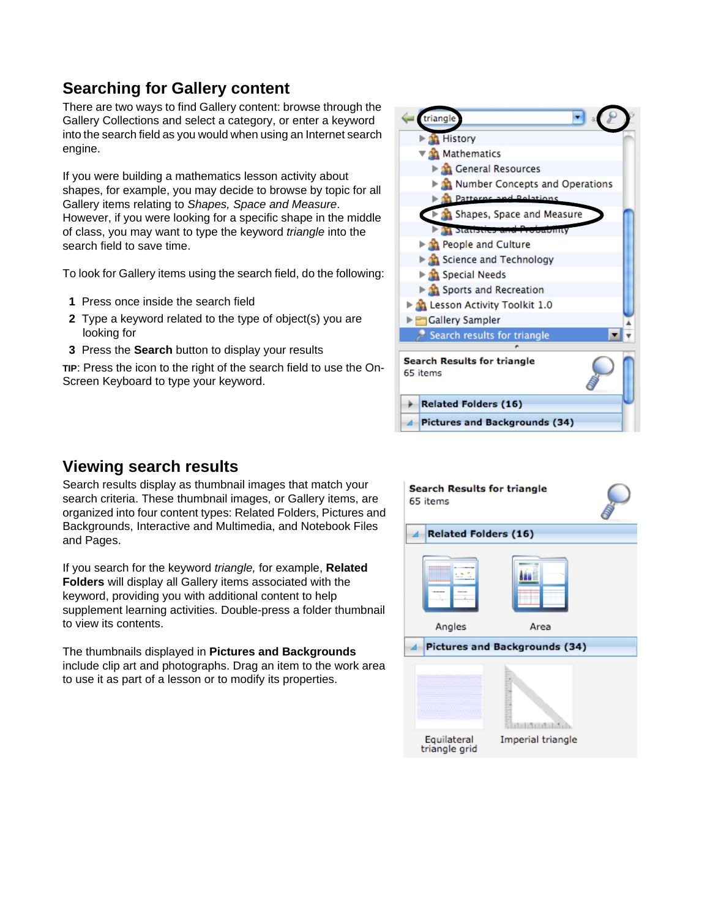# **Searching for Gallery content**

There are two ways to find Gallery content: browse through the Gallery Collections and select a category, or enter a keyword into the search field as you would when using an Internet search engine.

If you were building a mathematics lesson activity about shapes, for example, you may decide to browse by topic for all Gallery items relating to *Shapes, Space and Measure*. However, if you were looking for a specific shape in the middle of class, you may want to type the keyword *triangle* into the search field to save time.

To look for Gallery items using the search field, do the following:

- **1** Press once inside the search field
- **2** Type a keyword related to the type of object(s) you are looking for
- **3** Press the **Search** button to display your results

**TIP**: Press the icon to the right of the search field to use the On-Screen Keyboard to type your keyword.



#### **Viewing search results**

Search results display as thumbnail images that match your search criteria. These thumbnail images, or Gallery items, are organized into four content types: Related Folders, Pictures and Backgrounds, Interactive and Multimedia, and Notebook Files and Pages.

If you search for the keyword *triangle,* for example, **Related Folders** will display all Gallery items associated with the keyword, providing you with additional content to help supplement learning activities. Double-press a folder thumbnail to view its contents.

The thumbnails displayed in **Pictures and Backgrounds** include clip art and photographs. Drag an item to the work area to use it as part of a lesson or to modify its properties.